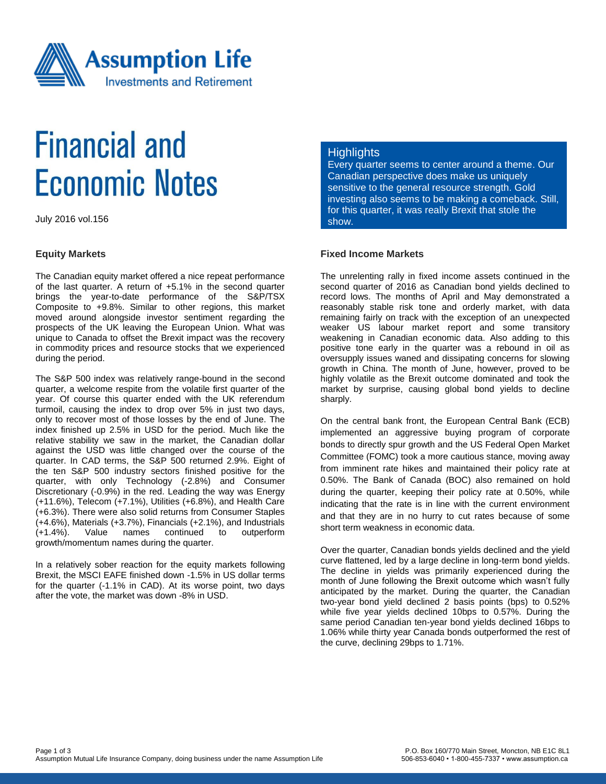

# **Financial and Economic Notes**

July 2016 vol.156

#### **Equity Markets**

The Canadian equity market offered a nice repeat performance of the last quarter. A return of +5.1% in the second quarter brings the year-to-date performance of the S&P/TSX Composite to +9.8%. Similar to other regions, this market moved around alongside investor sentiment regarding the prospects of the UK leaving the European Union. What was unique to Canada to offset the Brexit impact was the recovery in commodity prices and resource stocks that we experienced during the period.

The S&P 500 index was relatively range-bound in the second quarter, a welcome respite from the volatile first quarter of the year. Of course this quarter ended with the UK referendum turmoil, causing the index to drop over 5% in just two days, only to recover most of those losses by the end of June. The index finished up 2.5% in USD for the period. Much like the relative stability we saw in the market, the Canadian dollar against the USD was little changed over the course of the quarter. In CAD terms, the S&P 500 returned 2.9%. Eight of the ten S&P 500 industry sectors finished positive for the quarter, with only Technology (-2.8%) and Consumer Discretionary (-0.9%) in the red. Leading the way was Energy (+11.6%), Telecom (+7.1%), Utilities (+6.8%), and Health Care (+6.3%). There were also solid returns from Consumer Staples (+4.6%), Materials (+3.7%), Financials (+2.1%), and Industrials (+1.4%). Value names continued to outperform growth/momentum names during the quarter.

In a relatively sober reaction for the equity markets following Brexit, the MSCI EAFE finished down -1.5% in US dollar terms for the quarter (-1.1% in CAD). At its worse point, two days after the vote, the market was down -8% in USD.

#### **Highlights**

Every quarter seems to center around a theme. Our Canadian perspective does make us uniquely sensitive to the general resource strength. Gold investing also seems to be making a comeback. Still, for this quarter, it was really Brexit that stole the show.

### **Fixed Income Markets**

The unrelenting rally in fixed income assets continued in the second quarter of 2016 as Canadian bond yields declined to record lows. The months of April and May demonstrated a reasonably stable risk tone and orderly market, with data remaining fairly on track with the exception of an unexpected weaker US labour market report and some transitory weakening in Canadian economic data. Also adding to this positive tone early in the quarter was a rebound in oil as oversupply issues waned and dissipating concerns for slowing growth in China. The month of June, however, proved to be highly volatile as the Brexit outcome dominated and took the market by surprise, causing global bond yields to decline sharply.

On the central bank front, the European Central Bank (ECB) implemented an aggressive buying program of corporate bonds to directly spur growth and the US Federal Open Market Committee (FOMC) took a more cautious stance, moving away from imminent rate hikes and maintained their policy rate at 0.50%. The Bank of Canada (BOC) also remained on hold during the quarter, keeping their policy rate at 0.50%, while indicating that the rate is in line with the current environment and that they are in no hurry to cut rates because of some short term weakness in economic data.

Over the quarter, Canadian bonds yields declined and the yield curve flattened, led by a large decline in long-term bond yields. The decline in yields was primarily experienced during the month of June following the Brexit outcome which wasn't fully anticipated by the market. During the quarter, the Canadian two-year bond yield declined 2 basis points (bps) to 0.52% while five year yields declined 10bps to 0.57%. During the same period Canadian ten-year bond yields declined 16bps to 1.06% while thirty year Canada bonds outperformed the rest of the curve, declining 29bps to 1.71%.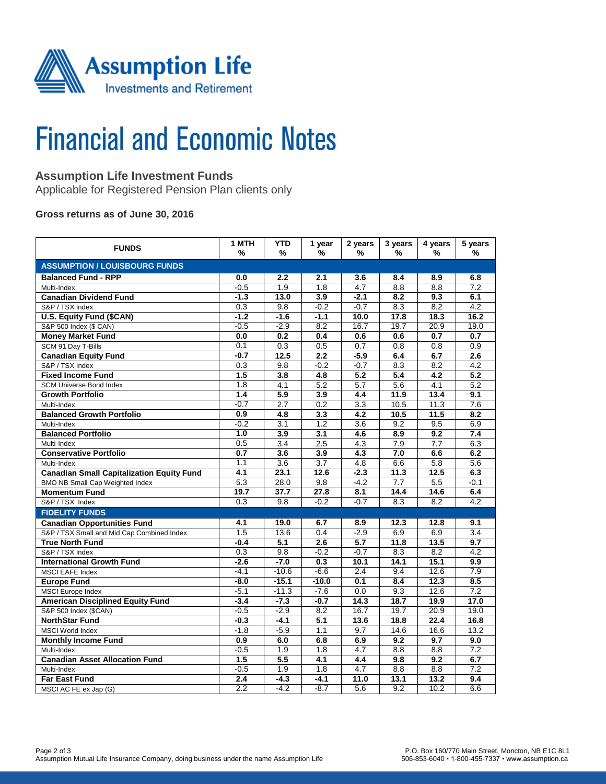

# **Financial and Economic Notes**

# **Assumption Life Investment Funds**

Applicable for Registered Pension Plan clients only

### **Gross returns as of June 30, 2016**

| <b>FUNDS</b>                                     | 1 MTH<br>%       | <b>YTD</b><br>%  | 1 year<br>%      | 2 years<br>%     | 3 years<br>%     | 4 years<br>℅     | 5 years<br>%     |  |  |  |  |
|--------------------------------------------------|------------------|------------------|------------------|------------------|------------------|------------------|------------------|--|--|--|--|
| <b>ASSUMPTION / LOUISBOURG FUNDS</b>             |                  |                  |                  |                  |                  |                  |                  |  |  |  |  |
| <b>Balanced Fund - RPP</b>                       | 0.0              | 2.2              | 2.1              | 3.6              | 8.4              | 8.9              | 6.8              |  |  |  |  |
| Multi-Index                                      | $-0.5$           | 1.9              | 1.8              | 4.7              | 8.8              | 8.8              | 7.2              |  |  |  |  |
| <b>Canadian Dividend Fund</b>                    | $-1.3$           | 13.0             | 3.9              | $-2.1$           | 8.2              | 9.3              | 6.1              |  |  |  |  |
| S&P / TSX Index                                  | 0.3              | 9.8              | $-0.2$           | $-0.7$           | 8.3              | 8.2              | 4.2              |  |  |  |  |
| <b>U.S. Equity Fund (\$CAN)</b>                  | $-1.2$           | $-1.6$           | $-1.1$           | 10.0             | 17.8             | 18.3             | 16.2             |  |  |  |  |
| S&P 500 Index (\$ CAN)                           | $-0.5$           | $-2.9$           | 8.2              | 16.7             | 19.7             | 20.9             | 19.0             |  |  |  |  |
| <b>Money Market Fund</b>                         | 0.0              | 0.2              | 0.4              | 0.6              | 0.6              | 0.7              | 0.7              |  |  |  |  |
| SCM 91 Day T-Bills                               | 0.1              | 0.3              | 0.5              | 0.7              | 0.8              | 0.8              | 0.9              |  |  |  |  |
| <b>Canadian Equity Fund</b>                      | $-0.7$           | 12.5             | 2.2              | $-5.9$           | 6.4              | 6.7              | 2.6              |  |  |  |  |
| S&P / TSX Index                                  | 0.3              | 9.8              | $-0.2$           | $-0.7$           | 8.3              | 8.2              | 4.2              |  |  |  |  |
| <b>Fixed Income Fund</b>                         | 1.5              | $\overline{3.8}$ | 4.8              | 5.2              | $\overline{5.4}$ | $\overline{4.2}$ | 5.2              |  |  |  |  |
| <b>SCM Universe Bond Index</b>                   | 1.8              | 4.1              | 5.2              | 5.7              | 5.6              | 4.1              | 5.2              |  |  |  |  |
| <b>Growth Portfolio</b>                          | 1.4              | 5.9              | 3.9              | 4.4              | 11.9             | 13.4             | 9.1              |  |  |  |  |
| Multi-Index                                      | $-0.7$           | 2.7              | 0.2              | 3.3              | 10.5             | 11.3             | 7.6              |  |  |  |  |
| <b>Balanced Growth Portfolio</b>                 | 0.9              | 4.8              | 3.3              | 4.2              | 10.5             | 11.5             | 8.2              |  |  |  |  |
| Multi-Index                                      | $-0.2$           | 3.1              | 1.2              | $\overline{3.6}$ | 9.2              | 9.5              | 6.9              |  |  |  |  |
| <b>Balanced Portfolio</b>                        | 1.0              | $\overline{3.9}$ | $\overline{3.1}$ | 4.6              | $\overline{8.9}$ | 9.2              | 7.4              |  |  |  |  |
| Multi-Index                                      | 0.5              | $\overline{3.4}$ | 2.5              | 4.3              | $\overline{7.9}$ | $\overline{7.7}$ | 6.3              |  |  |  |  |
| <b>Conservative Portfolio</b>                    | 0.7              | 3.6              | 3.9              | 4.3              | 7.0              | 6.6              | 6.2              |  |  |  |  |
| Multi-Index                                      | 1.1              | $\overline{3.6}$ | $\overline{3.7}$ | 4.8              | 6.6              | 5.8              | 5.6              |  |  |  |  |
| <b>Canadian Small Capitalization Equity Fund</b> | 4.1              | 23.1             | 12.6             | $-2.3$           | 11.3             | 12.5             | 6.3              |  |  |  |  |
| <b>BMO NB Small Cap Weighted Index</b>           | 5.3              | 28.0             | 9.8              | $-4.2$           | 7.7              | 5.5              | $-0.1$           |  |  |  |  |
| <b>Momentum Fund</b>                             | 19.7             | 37.7             | 27.8             | 8.1              | 14.4             | 14.6             | 6.4              |  |  |  |  |
| S&P / TSX Index                                  | 0.3              | 9.8              | $-0.2$           | $-0.7$           | 8.3              | 8.2              | 4.2              |  |  |  |  |
| <b>FIDELITY FUNDS</b>                            |                  |                  |                  |                  |                  |                  |                  |  |  |  |  |
| <b>Canadian Opportunities Fund</b>               | 4.1              | 19.0             | 6.7              | 8.9              | 12.3             | 12.8             | 9.1              |  |  |  |  |
| S&P / TSX Small and Mid Cap Combined Index       | $\overline{1.5}$ | 13.6             | 0.4              | $-2.9$           | 6.9              | 6.9              | $\overline{3.4}$ |  |  |  |  |
| <b>True North Fund</b>                           | -0.4             | 5.1              | 2.6              | 5.7              | 11.8             | 13.5             | 9.7              |  |  |  |  |
| S&P / TSX Index                                  | $\overline{0.3}$ | 9.8              | $-0.2$           | $-0.7$           | 8.3              | 8.2              | $\overline{4.2}$ |  |  |  |  |
| <b>International Growth Fund</b>                 | $-2.6$           | $-7.0$           | 0.3              | 10.1             | 14.1             | 15.1             | 9.9              |  |  |  |  |
| MSCI EAFE Index                                  | $-4.1$           | $-10.6$          | $-6.6$           | 2.4              | 9.4              | 12.6             | 7.9              |  |  |  |  |
| <b>Europe Fund</b>                               | $-8.0$           | $-15.1$          | $-10.0$          | 0.1              | 8.4              | 12.3             | 8.5              |  |  |  |  |
| <b>MSCI</b> Europe Index                         | $-5.1$           | $-11.3$          | $-7.6$           | 0.0              | 9.3              | 12.6             | 7.2              |  |  |  |  |
| <b>American Disciplined Equity Fund</b>          | $-3.4$           | $-7.3$           | $-0.7$           | 14.3             | 18.7             | 19.9             | 17.0             |  |  |  |  |
| S&P 500 Index (\$CAN)                            | $-0.5$           | $-2.9$           | 8.2              | 16.7             | 19.7             | 20.9             | 19.0             |  |  |  |  |
| <b>NorthStar Fund</b>                            | $-0.3$           | $-4.1$           | 5.1              | 13.6             | 18.8             | 22.4             | 16.8             |  |  |  |  |
| <b>MSCI World Index</b>                          | $-1.8$           | $-5.9$           | 1.1              | 9.7              | 14.6             | 16.6             | 13.2             |  |  |  |  |
| <b>Monthly Income Fund</b>                       | 0.9              | 6.0              | 6.8              | 6.9              | $\overline{9.2}$ | 9.7              | 9.0              |  |  |  |  |
| Multi-Index                                      | $-0.5$           | 1.9              | 1.8              | 4.7              | 8.8              | 8.8              | 7.2              |  |  |  |  |
| <b>Canadian Asset Allocation Fund</b>            | 1.5              | 5.5              | 4.1              | 4.4              | 9.8              | 9.2              | 6.7              |  |  |  |  |
| Multi-Index                                      | $-0.5$           | 1.9              | 1.8              | $\overline{4.7}$ | 8.8              | 8.8              | 7.2              |  |  |  |  |
| <b>Far East Fund</b>                             | 2.4              | $-4.3$           | $-4.1$           | 11.0             | 13.1             | 13.2             | 9.4              |  |  |  |  |
| MSCI AC FE ex Jap (G)                            | $\overline{2.2}$ | $-4.2$           | $-8.7$           | $\overline{5.6}$ | 9.2              | 10.2             | 6.6              |  |  |  |  |